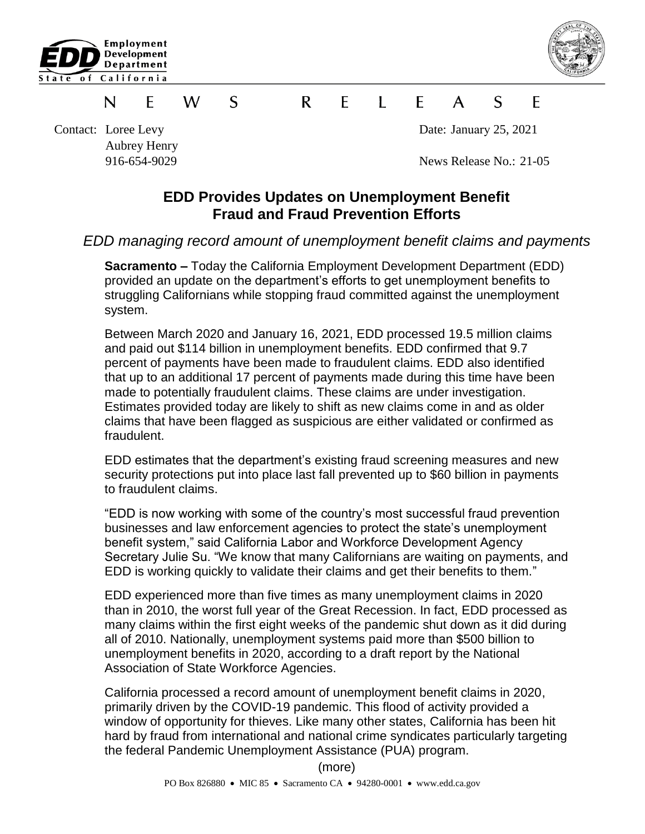



## W. S R  $\mathsf{F}$  $\blacksquare$   $\blacksquare$   $\blacksquare$  $\mathsf{A}$  $\mathsf{S}$ N F. F

Contact: Loree Levy Date: January 25, 2021 Aubrey Henry

916-654-9029 News Release No.: 21-05

## **EDD Provides Updates on Unemployment Benefit Fraud and Fraud Prevention Efforts**

## *EDD managing record amount of unemployment benefit claims and payments*

**Sacramento –** Today the California Employment Development Department (EDD) provided an update on the department's efforts to get unemployment benefits to struggling Californians while stopping fraud committed against the unemployment system.

Between March 2020 and January 16, 2021, EDD processed 19.5 million claims and paid out \$114 billion in unemployment benefits. EDD confirmed that 9.7 percent of payments have been made to fraudulent claims. EDD also identified that up to an additional 17 percent of payments made during this time have been made to potentially fraudulent claims. These claims are under investigation. Estimates provided today are likely to shift as new claims come in and as older claims that have been flagged as suspicious are either validated or confirmed as fraudulent.

EDD estimates that the department's existing fraud screening measures and new security protections put into place last fall prevented up to \$60 billion in payments to fraudulent claims.

"EDD is now working with some of the country's most successful fraud prevention businesses and law enforcement agencies to protect the state's unemployment benefit system," said California Labor and Workforce Development Agency Secretary Julie Su. "We know that many Californians are waiting on payments, and EDD is working quickly to validate their claims and get their benefits to them."

EDD experienced more than five times as many unemployment claims in 2020 than in 2010, the worst full year of the Great Recession. In fact, EDD processed as many claims within the first eight weeks of the pandemic shut down as it did during all of 2010. Nationally, unemployment systems paid more than \$500 billion to unemployment benefits in 2020, according to a draft report by the National Association of State Workforce Agencies.

California processed a record amount of unemployment benefit claims in 2020, primarily driven by the COVID-19 pandemic. This flood of activity provided a window of opportunity for thieves. Like many other states, California has been hit hard by fraud from international and national crime syndicates particularly targeting the federal Pandemic Unemployment Assistance (PUA) program.

(more)